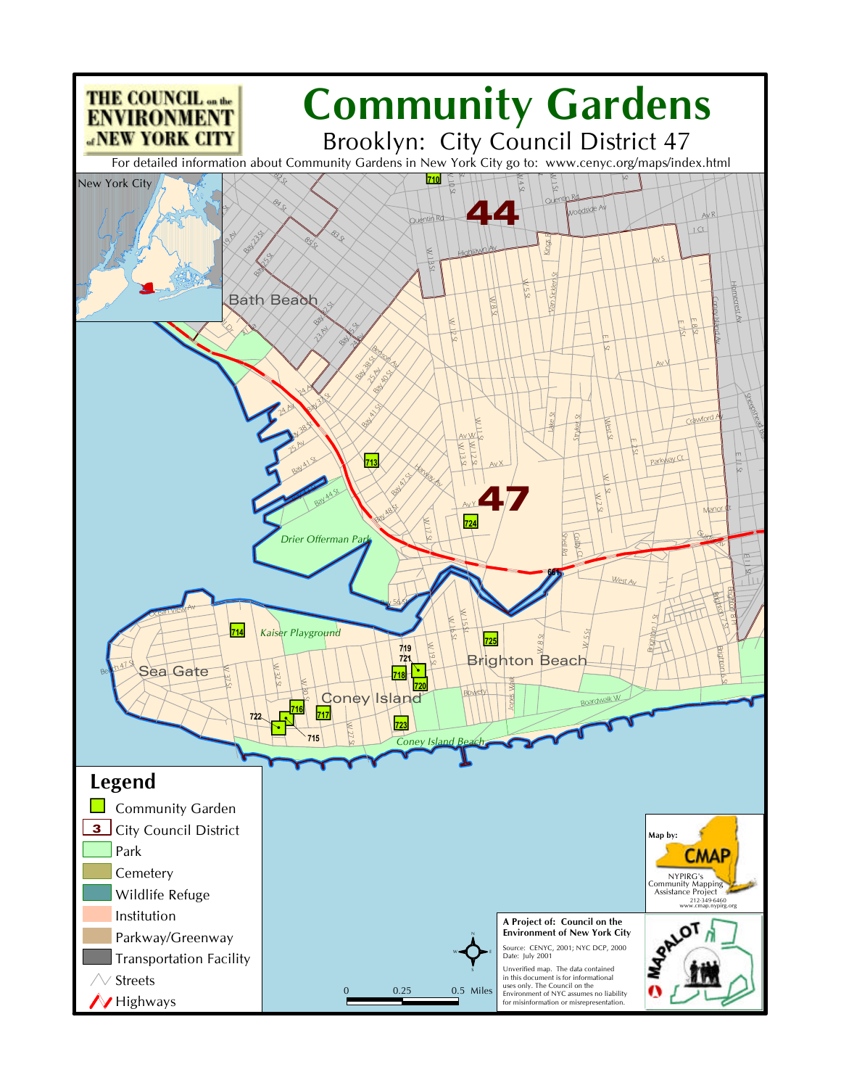